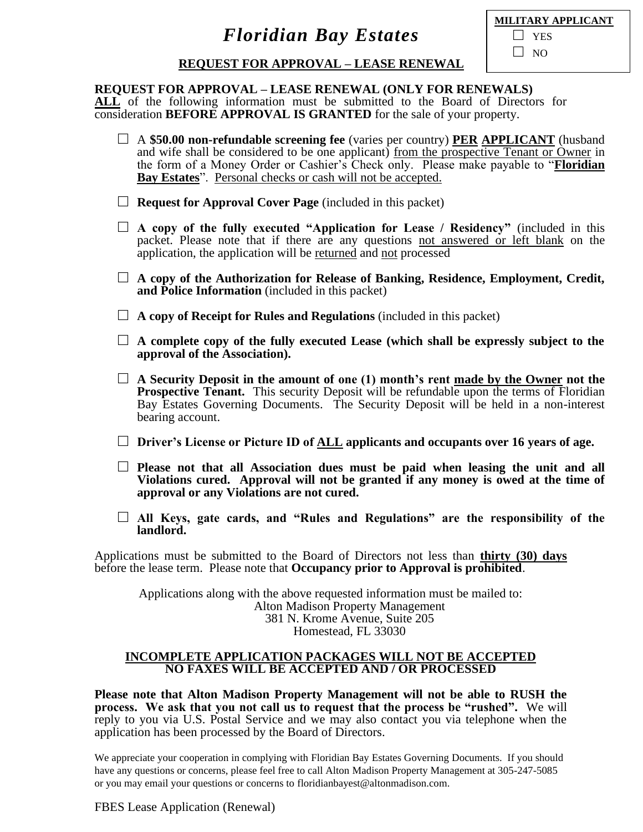| MILITARY APPLICANT |
|--------------------|
| $\perp$ YES        |
| $\Box$ NO          |

### **REQUEST FOR APPROVAL – LEASE RENEWAL**

#### **REQUEST FOR APPROVAL – LEASE RENEWAL (ONLY FOR RENEWALS)**

**ALL** of the following information must be submitted to the Board of Directors for consideration **BEFORE APPROVAL IS GRANTED** for the sale of your property.

- □ A **\$50.00 non-refundable screening fee** (varies per country) **PER APPLICANT** (husband and wife shall be considered to be one applicant) from the prospective Tenant or Owner in the form of a Money Order or Cashier's Check only. Please make payable to "**Floridian Bay Estates**". Personal checks or cash will not be accepted.
- □ **Request for Approval Cover Page** (included in this packet)
- $\Box$  **A** copy of the fully executed "Application for Lease / Residency" (included in this packet. Please note that if there are any questions not answered or left blank on the application, the application will be returned and not processed
- □ **A copy of the Authorization for Release of Banking, Residence, Employment, Credit, and Police Information** (included in this packet)
- □ **A copy of Receipt for Rules and Regulations** (included in this packet)
- $\Box$  **A** complete copy of the fully executed Lease (which shall be expressly subject to the **approval of the Association).**
- □ **A Security Deposit in the amount of one (1) month's rent made by the Owner not the Prospective Tenant.** This security Deposit will be refundable upon the terms of Floridian Bay Estates Governing Documents. The Security Deposit will be held in a non-interest bearing account.
- □ **Driver's License or Picture ID of ALL applicants and occupants over 16 years of age.**
- □ **Please not that all Association dues must be paid when leasing the unit and all Violations cured. Approval will not be granted if any money is owed at the time of approval or any Violations are not cured.**
- □ **All Keys, gate cards, and "Rules and Regulations" are the responsibility of the landlord.**

Applications must be submitted to the Board of Directors not less than **thirty (30) days** before the lease term. Please note that **Occupancy prior to Approval is prohibited**.

Applications along with the above requested information must be mailed to: Alton Madison Property Management 381 N. Krome Avenue, Suite 205 Homestead, FL 33030

#### **INCOMPLETE APPLICATION PACKAGES WILL NOT BE ACCEPTED NO FAXES WILL BE ACCEPTED AND / OR PROCESSED**

**Please note that Alton Madison Property Management will not be able to RUSH the process. We ask that you not call us to request that the process be "rushed".** We will reply to you via U.S. Postal Service and we may also contact you via telephone when the application has been processed by the Board of Directors.

We appreciate your cooperation in complying with Floridian Bay Estates Governing Documents. If you should have any questions or concerns, please feel free to call Alton Madison Property Management at 305-247-5085 or you may email your questions or concerns to floridianbayest@altonmadison.com.

FBES Lease Application (Renewal)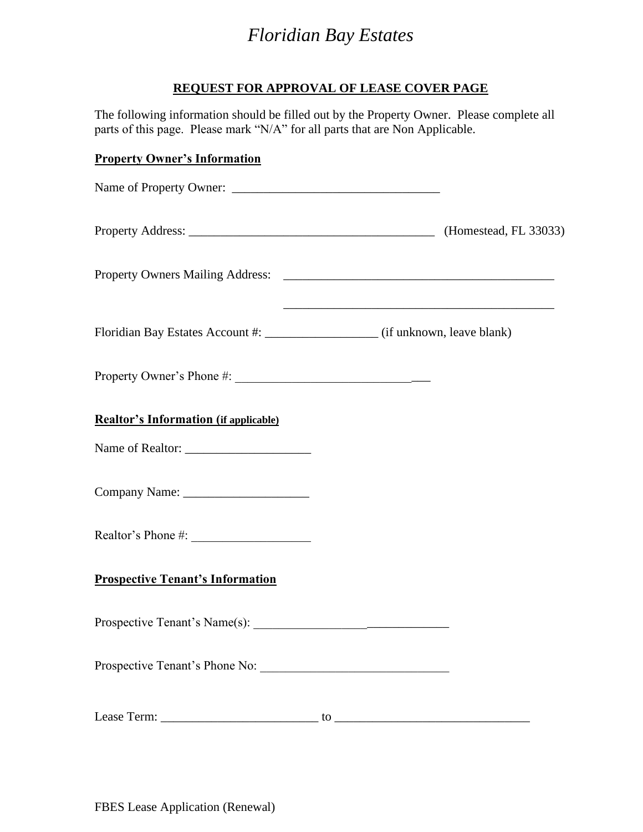### **REQUEST FOR APPROVAL OF LEASE COVER PAGE**

The following information should be filled out by the Property Owner. Please complete all parts of this page. Please mark "N/A" for all parts that are Non Applicable.

### **Property Owner's Information**

| <b>Realtor's Information (if applicable)</b> |  |
|----------------------------------------------|--|
|                                              |  |
|                                              |  |
|                                              |  |
| <b>Prospective Tenant's Information</b>      |  |
|                                              |  |
| Prospective Tenant's Phone No:               |  |
|                                              |  |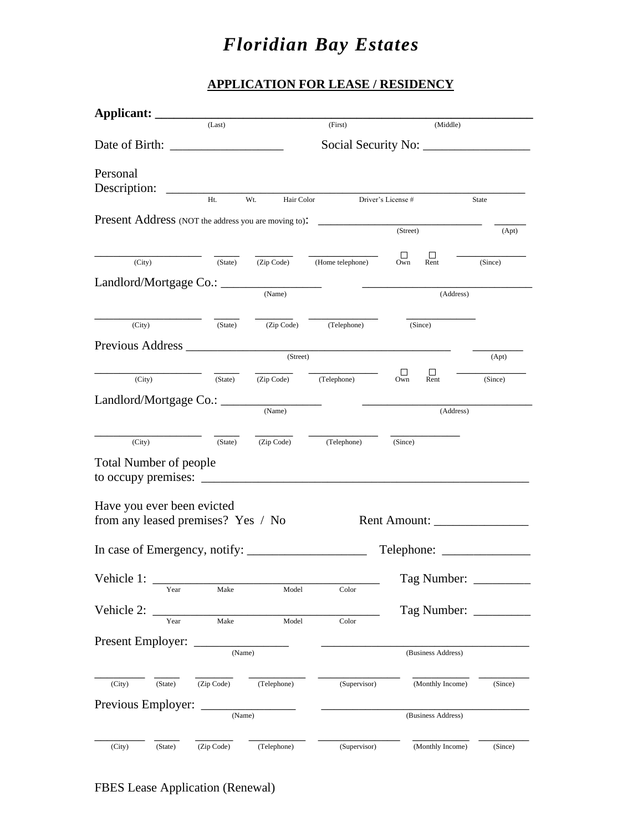### **APPLICATION FOR LEASE / RESIDENCY**

|                            |         | (Last)                             |                                                                                                                       | (First)                                  | (Middle)                                                                                      |                         |
|----------------------------|---------|------------------------------------|-----------------------------------------------------------------------------------------------------------------------|------------------------------------------|-----------------------------------------------------------------------------------------------|-------------------------|
|                            |         |                                    |                                                                                                                       |                                          |                                                                                               |                         |
| Personal                   |         |                                    |                                                                                                                       |                                          |                                                                                               |                         |
|                            |         | Ht.                                | Wt.                                                                                                                   |                                          | Hair Color Driver's License #                                                                 | State                   |
|                            |         |                                    |                                                                                                                       |                                          | Present Address (NOT the address you are moving to): ____________________________<br>(Street) | (Apt)                   |
|                            |         |                                    |                                                                                                                       |                                          |                                                                                               |                         |
|                            | (City)  | (State)                            |                                                                                                                       | $\overline{(Zip Code)}$ (Home telephone) | ш<br>$\Box$<br>Own<br>Rent                                                                    | (Since)                 |
|                            |         |                                    |                                                                                                                       |                                          |                                                                                               |                         |
|                            |         |                                    |                                                                                                                       |                                          |                                                                                               | (Address)               |
|                            |         |                                    |                                                                                                                       |                                          |                                                                                               |                         |
| (City)                     |         | (State)                            |                                                                                                                       | (Zip Code) (Telephone)                   | (Since)                                                                                       |                         |
|                            |         |                                    |                                                                                                                       |                                          |                                                                                               |                         |
|                            |         |                                    | (Street)                                                                                                              |                                          |                                                                                               | (Apt)                   |
| (City)                     |         | (State)                            | (Zip Code) (Telephone)                                                                                                |                                          | $\Box$<br>$\Box$<br>Own<br>Rent                                                               | (Since)                 |
|                            |         | Landlord/Mortgage Co.: ______      |                                                                                                                       |                                          |                                                                                               |                         |
|                            |         |                                    | (Name)                                                                                                                |                                          |                                                                                               | (Address)               |
|                            |         |                                    |                                                                                                                       |                                          |                                                                                               |                         |
| (City)                     |         | (State)                            |                                                                                                                       | (Zip Code) (Telephone) (Since)           |                                                                                               |                         |
| Total Number of people     |         |                                    |                                                                                                                       |                                          |                                                                                               |                         |
|                            |         |                                    |                                                                                                                       |                                          |                                                                                               |                         |
| Have you ever been evicted |         |                                    |                                                                                                                       |                                          |                                                                                               |                         |
|                            |         | from any leased premises? Yes / No |                                                                                                                       |                                          | Rent Amount:                                                                                  |                         |
|                            |         |                                    |                                                                                                                       |                                          |                                                                                               |                         |
|                            |         |                                    |                                                                                                                       |                                          | Telephone:                                                                                    |                         |
|                            |         |                                    |                                                                                                                       |                                          |                                                                                               |                         |
| Vehicle 1:                 | Year    | Make                               | Model                                                                                                                 | Color                                    | Tag Number:                                                                                   |                         |
|                            |         |                                    |                                                                                                                       |                                          |                                                                                               |                         |
| Vehicle 2:                 | Year    | Make                               | Model                                                                                                                 | Color                                    |                                                                                               | Tag Number: ___________ |
| Present Employer:          |         |                                    |                                                                                                                       |                                          |                                                                                               |                         |
|                            |         | (Name)                             |                                                                                                                       |                                          | (Business Address)                                                                            |                         |
|                            |         |                                    |                                                                                                                       |                                          |                                                                                               |                         |
| (City)                     | (State) | (Zip Code)                         | (Telephone)                                                                                                           | (Supervisor)                             | (Monthly Income)                                                                              | (Since)                 |
| Previous Employer:         |         |                                    | <u> 2000 - Jan Jan Jawa Barat, prima provinci prima prima prima prima prima prima prima prima prima prima prima p</u> |                                          |                                                                                               |                         |
|                            |         | (Name)                             |                                                                                                                       |                                          | (Business Address)                                                                            |                         |
|                            |         |                                    |                                                                                                                       |                                          |                                                                                               |                         |
| (City)                     | (State) | (Zip Code)                         | (Telephone)                                                                                                           | (Supervisor)                             | (Monthly Income)                                                                              | (Since)                 |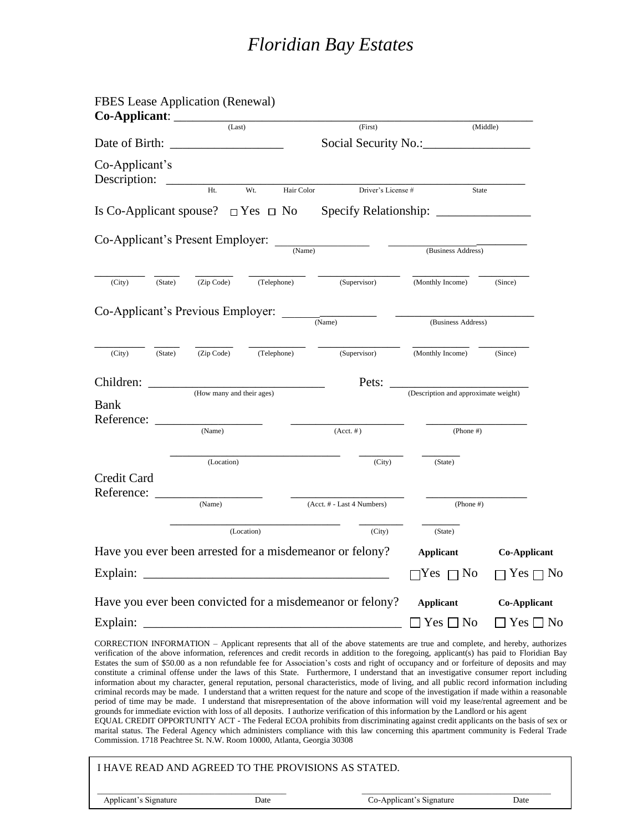| <b>FBES</b> Lease Application (Renewal)<br>Co-Applicant:               |                           |             |            |                                                                                                                                     |                                      |                                                                                                                                                                                                                                                                                                                                                                                                                                                                                                                                                                                                                                                                                                                                                                                                                                                                                                                                                                                                                                                                                                                                                                                                                                                                          |
|------------------------------------------------------------------------|---------------------------|-------------|------------|-------------------------------------------------------------------------------------------------------------------------------------|--------------------------------------|--------------------------------------------------------------------------------------------------------------------------------------------------------------------------------------------------------------------------------------------------------------------------------------------------------------------------------------------------------------------------------------------------------------------------------------------------------------------------------------------------------------------------------------------------------------------------------------------------------------------------------------------------------------------------------------------------------------------------------------------------------------------------------------------------------------------------------------------------------------------------------------------------------------------------------------------------------------------------------------------------------------------------------------------------------------------------------------------------------------------------------------------------------------------------------------------------------------------------------------------------------------------------|
|                                                                        |                           | (Last)      |            | (First)                                                                                                                             |                                      | (Middle)                                                                                                                                                                                                                                                                                                                                                                                                                                                                                                                                                                                                                                                                                                                                                                                                                                                                                                                                                                                                                                                                                                                                                                                                                                                                 |
| Date of Birth:                                                         |                           |             |            |                                                                                                                                     |                                      |                                                                                                                                                                                                                                                                                                                                                                                                                                                                                                                                                                                                                                                                                                                                                                                                                                                                                                                                                                                                                                                                                                                                                                                                                                                                          |
| Co-Applicant's<br>Description:                                         |                           |             |            |                                                                                                                                     |                                      |                                                                                                                                                                                                                                                                                                                                                                                                                                                                                                                                                                                                                                                                                                                                                                                                                                                                                                                                                                                                                                                                                                                                                                                                                                                                          |
|                                                                        | Ht.                       | Wt.         | Hair Color | Driver's License #                                                                                                                  |                                      | State                                                                                                                                                                                                                                                                                                                                                                                                                                                                                                                                                                                                                                                                                                                                                                                                                                                                                                                                                                                                                                                                                                                                                                                                                                                                    |
| Is Co-Applicant spouse? $\Box$ Yes $\Box$ No                           |                           |             |            |                                                                                                                                     |                                      |                                                                                                                                                                                                                                                                                                                                                                                                                                                                                                                                                                                                                                                                                                                                                                                                                                                                                                                                                                                                                                                                                                                                                                                                                                                                          |
| Co-Applicant's Present Employer:                                       |                           |             | (Name)     |                                                                                                                                     | (Business Address)                   |                                                                                                                                                                                                                                                                                                                                                                                                                                                                                                                                                                                                                                                                                                                                                                                                                                                                                                                                                                                                                                                                                                                                                                                                                                                                          |
| (City)<br>(State)                                                      | (Zip Code)                | (Telephone) |            | (Supervisor)                                                                                                                        | (Monthly Income)                     | (Since)                                                                                                                                                                                                                                                                                                                                                                                                                                                                                                                                                                                                                                                                                                                                                                                                                                                                                                                                                                                                                                                                                                                                                                                                                                                                  |
| Co-Applicant's Previous Employer:                                      |                           |             |            |                                                                                                                                     |                                      |                                                                                                                                                                                                                                                                                                                                                                                                                                                                                                                                                                                                                                                                                                                                                                                                                                                                                                                                                                                                                                                                                                                                                                                                                                                                          |
|                                                                        |                           |             |            | $\frac{1}{(Name)}$                                                                                                                  | (Business Address)                   |                                                                                                                                                                                                                                                                                                                                                                                                                                                                                                                                                                                                                                                                                                                                                                                                                                                                                                                                                                                                                                                                                                                                                                                                                                                                          |
| (City)<br>(State)                                                      | (Zip Code)                | (Telephone) |            | (Supervisor)                                                                                                                        | (Monthly Income)                     | (Since)                                                                                                                                                                                                                                                                                                                                                                                                                                                                                                                                                                                                                                                                                                                                                                                                                                                                                                                                                                                                                                                                                                                                                                                                                                                                  |
| Children:                                                              | (How many and their ages) |             |            | Pets:                                                                                                                               | (Description and approximate weight) |                                                                                                                                                                                                                                                                                                                                                                                                                                                                                                                                                                                                                                                                                                                                                                                                                                                                                                                                                                                                                                                                                                                                                                                                                                                                          |
| Bank<br>Reference:                                                     |                           |             |            |                                                                                                                                     |                                      |                                                                                                                                                                                                                                                                                                                                                                                                                                                                                                                                                                                                                                                                                                                                                                                                                                                                                                                                                                                                                                                                                                                                                                                                                                                                          |
|                                                                        | (Name)                    |             |            | $(Acct. \#)$                                                                                                                        | $(Phone \#)$                         |                                                                                                                                                                                                                                                                                                                                                                                                                                                                                                                                                                                                                                                                                                                                                                                                                                                                                                                                                                                                                                                                                                                                                                                                                                                                          |
|                                                                        | (Location)                |             |            | (City)                                                                                                                              | (State)                              |                                                                                                                                                                                                                                                                                                                                                                                                                                                                                                                                                                                                                                                                                                                                                                                                                                                                                                                                                                                                                                                                                                                                                                                                                                                                          |
| Credit Card                                                            |                           |             |            |                                                                                                                                     |                                      |                                                                                                                                                                                                                                                                                                                                                                                                                                                                                                                                                                                                                                                                                                                                                                                                                                                                                                                                                                                                                                                                                                                                                                                                                                                                          |
| Reference:                                                             | (Name)                    |             |            | (Acct. # - Last 4 Numbers)                                                                                                          | $(Phone \#)$                         |                                                                                                                                                                                                                                                                                                                                                                                                                                                                                                                                                                                                                                                                                                                                                                                                                                                                                                                                                                                                                                                                                                                                                                                                                                                                          |
|                                                                        |                           | (Location)  |            | (City)                                                                                                                              | (State)                              |                                                                                                                                                                                                                                                                                                                                                                                                                                                                                                                                                                                                                                                                                                                                                                                                                                                                                                                                                                                                                                                                                                                                                                                                                                                                          |
| Have you ever been arrested for a misdemeanor or felony?               |                           |             |            |                                                                                                                                     | <b>Applicant</b>                     | <b>Co-Applicant</b>                                                                                                                                                                                                                                                                                                                                                                                                                                                                                                                                                                                                                                                                                                                                                                                                                                                                                                                                                                                                                                                                                                                                                                                                                                                      |
| Explain:                                                               |                           |             |            |                                                                                                                                     | $\Box$ Yes $\Box$ No                 | $\Box$ Yes $\Box$ No                                                                                                                                                                                                                                                                                                                                                                                                                                                                                                                                                                                                                                                                                                                                                                                                                                                                                                                                                                                                                                                                                                                                                                                                                                                     |
|                                                                        |                           |             |            | Have you ever been convicted for a misdemeanor or felony?                                                                           | <b>Applicant</b>                     | <b>Co-Applicant</b>                                                                                                                                                                                                                                                                                                                                                                                                                                                                                                                                                                                                                                                                                                                                                                                                                                                                                                                                                                                                                                                                                                                                                                                                                                                      |
| Explain:                                                               |                           |             |            |                                                                                                                                     | $Yes \Box No$                        | $Yes \Box No$                                                                                                                                                                                                                                                                                                                                                                                                                                                                                                                                                                                                                                                                                                                                                                                                                                                                                                                                                                                                                                                                                                                                                                                                                                                            |
| Commission. 1718 Peachtree St. N.W. Room 10000, Atlanta, Georgia 30308 |                           |             |            | grounds for immediate eviction with loss of all deposits. I authorize verification of this information by the Landlord or his agent |                                      | CORRECTION INFORMATION - Applicant represents that all of the above statements are true and complete, and hereby, authorizes<br>verification of the above information, references and credit records in addition to the foregoing, applicant(s) has paid to Floridian Bay<br>Estates the sum of \$50.00 as a non refundable fee for Association's costs and right of occupancy and or forfeiture of deposits and may<br>constitute a criminal offense under the laws of this State. Furthermore, I understand that an investigative consumer report including<br>information about my character, general reputation, personal characteristics, mode of living, and all public record information including<br>criminal records may be made. I understand that a written request for the nature and scope of the investigation if made within a reasonable<br>period of time may be made. I understand that misrepresentation of the above information will void my lease/rental agreement and be<br>EQUAL CREDIT OPPORTUNITY ACT - The Federal ECOA prohibits from discriminating against credit applicants on the basis of sex or<br>marital status. The Federal Agency which administers compliance with this law concerning this apartment community is Federal Trade |
|                                                                        |                           |             |            | I HAVE READ AND AGREED TO THE PROVISIONS AS STATED.                                                                                 |                                      |                                                                                                                                                                                                                                                                                                                                                                                                                                                                                                                                                                                                                                                                                                                                                                                                                                                                                                                                                                                                                                                                                                                                                                                                                                                                          |
| Applicant's Signature                                                  |                           | Date        |            |                                                                                                                                     | Co-Applicant's Signature             | Date                                                                                                                                                                                                                                                                                                                                                                                                                                                                                                                                                                                                                                                                                                                                                                                                                                                                                                                                                                                                                                                                                                                                                                                                                                                                     |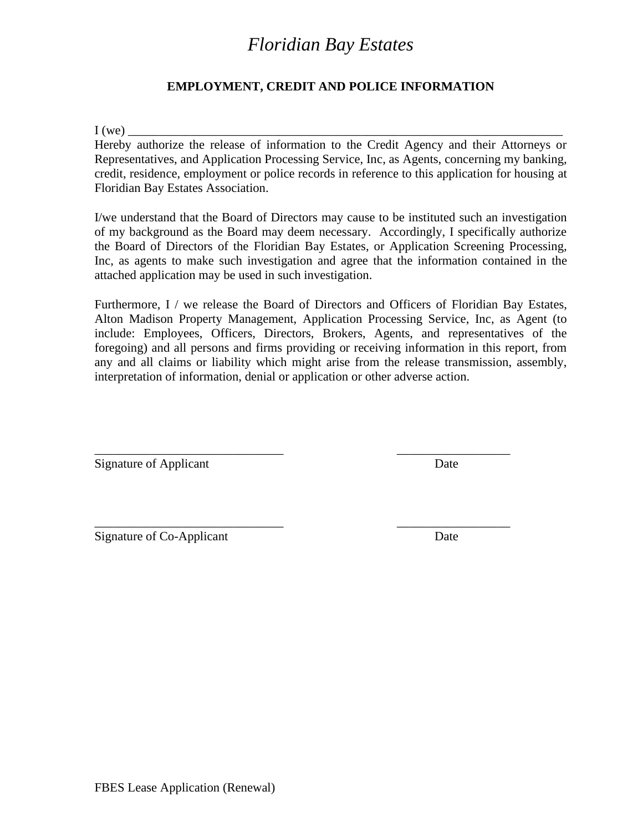### **EMPLOYMENT, CREDIT AND POLICE INFORMATION**

 $I(we)$   $\overline{\phantom{a}}$ 

Hereby authorize the release of information to the Credit Agency and their Attorneys or Representatives, and Application Processing Service, Inc, as Agents, concerning my banking, credit, residence, employment or police records in reference to this application for housing at Floridian Bay Estates Association.

I/we understand that the Board of Directors may cause to be instituted such an investigation of my background as the Board may deem necessary. Accordingly, I specifically authorize the Board of Directors of the Floridian Bay Estates, or Application Screening Processing, Inc, as agents to make such investigation and agree that the information contained in the attached application may be used in such investigation.

Furthermore, I / we release the Board of Directors and Officers of Floridian Bay Estates, Alton Madison Property Management, Application Processing Service, Inc, as Agent (to include: Employees, Officers, Directors, Brokers, Agents, and representatives of the foregoing) and all persons and firms providing or receiving information in this report, from any and all claims or liability which might arise from the release transmission, assembly, interpretation of information, denial or application or other adverse action.

\_\_\_\_\_\_\_\_\_\_\_\_\_\_\_\_\_\_\_\_\_\_\_\_\_\_\_\_\_\_ \_\_\_\_\_\_\_\_\_\_\_\_\_\_\_\_\_\_

\_\_\_\_\_\_\_\_\_\_\_\_\_\_\_\_\_\_\_\_\_\_\_\_\_\_\_\_\_\_ \_\_\_\_\_\_\_\_\_\_\_\_\_\_\_\_\_\_

Signature of Applicant Date

Signature of Co-Applicant Date